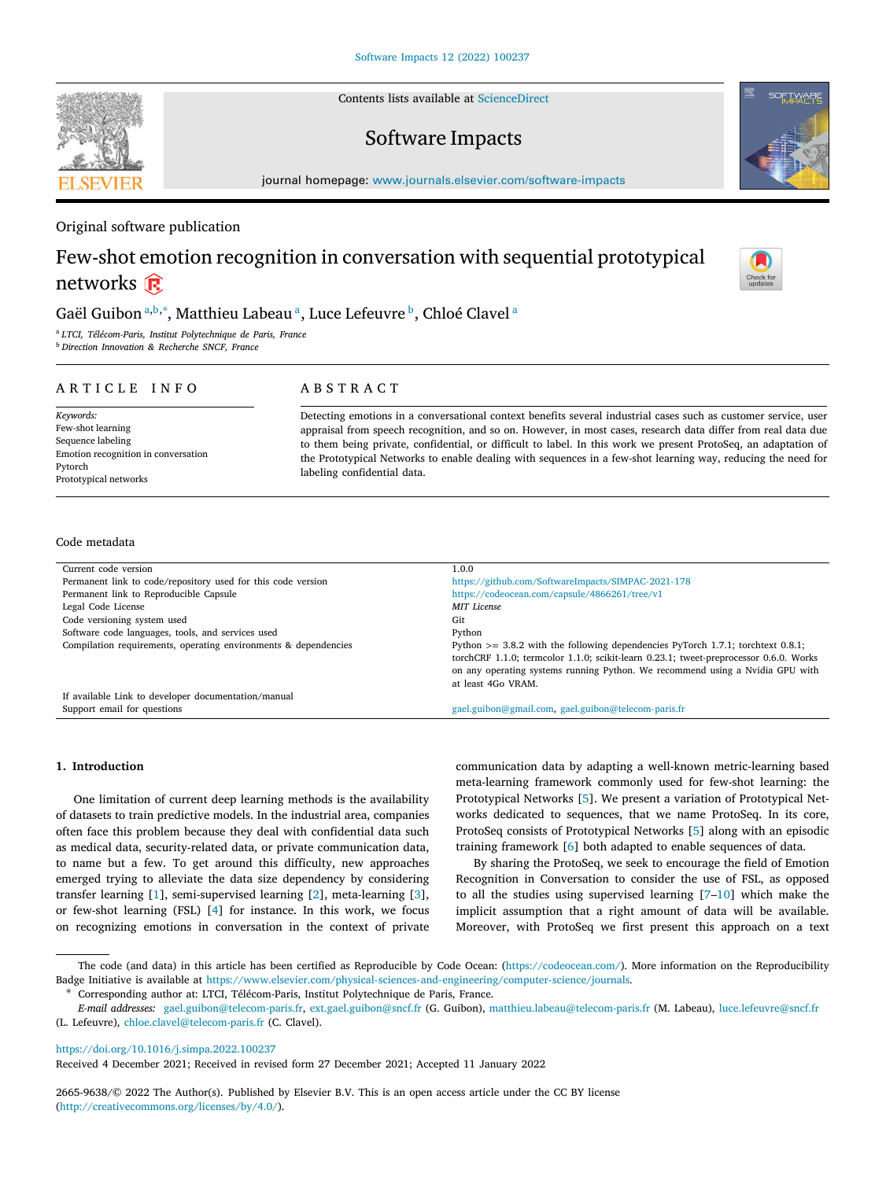Contents lists available at [ScienceDirect](http://www.journals.elsevier.com/software-impacts)

## Software Impacts

journal homepage: [www.journals.elsevier.com/software-impacts](http://www.journals.elsevier.com/software-impacts)

Original software publication

# Few-shot emotion recognition in conversation with sequential prototypical networks  $\widehat{\mathbb{R}}$

### G[a](#page-0-0)ël Gui[b](#page-0-1)on ª<sup>,b,[∗](#page-0-2)</sup>, Matthieu Labeau ª, Luce Lefeuvre <sup>b</sup>, Chloé Clavel ª

<span id="page-0-1"></span><span id="page-0-0"></span><sup>a</sup> *LTCI, Télécom-Paris, Institut Polytechnique de Paris, France* <sup>b</sup> *Direction Innovation & Recherche SNCF, France*

ARTICLE INFO

### A B S T R A C T

*Keywords:* Few-shot learning Sequence labeling Emotion recognition in conversation Pytorch Prototypical networks

Detecting emotions in a conversational context benefits several industrial cases such as customer service, user appraisal from speech recognition, and so on. However, in most cases, research data differ from real data due to them being private, confidential, or difficult to label. In this work we present ProtoSeq, an adaptation of the Prototypical Networks to enable dealing with sequences in a few-shot learning way, reducing the need for labeling confidential data.

#### Code metadata

| Current code version                                            | 1.0.0                                                                                                                                                                                                                                                                             |
|-----------------------------------------------------------------|-----------------------------------------------------------------------------------------------------------------------------------------------------------------------------------------------------------------------------------------------------------------------------------|
| Permanent link to code/repository used for this code version    | https://github.com/SoftwareImpacts/SIMPAC-2021-178                                                                                                                                                                                                                                |
| Permanent link to Reproducible Capsule                          | https://codeocean.com/capsule/4866261/tree/v1                                                                                                                                                                                                                                     |
| Legal Code License                                              | <b>MIT</b> License                                                                                                                                                                                                                                                                |
| Code versioning system used                                     | Git                                                                                                                                                                                                                                                                               |
| Software code languages, tools, and services used               | Python                                                                                                                                                                                                                                                                            |
| Compilation requirements, operating environments & dependencies | Python $>= 3.8.2$ with the following dependencies PyTorch 1.7.1; torchtext 0.8.1;<br>torchCRF 1.1.0; termcolor 1.1.0; scikit-learn 0.23.1; tweet-preprocessor 0.6.0. Works<br>on any operating systems running Python. We recommend using a Nvidia GPU with<br>at least 4Go VRAM. |
| If available Link to developer documentation/manual             |                                                                                                                                                                                                                                                                                   |
| Support email for questions                                     | gael.guibon@gmail.com.gael.guibon@telecom-paris.fr                                                                                                                                                                                                                                |

#### **1. Introduction**

One limitation of current deep learning methods is the availability of datasets to train predictive models. In the industrial area, companies often face this problem because they deal with confidential data such as medical data, security-related data, or private communication data, to name but a few. To get around this difficulty, new approaches emerged trying to alleviate the data size dependency by considering transfer learning [[1](#page-2-0)], semi-supervised learning [\[2\]](#page-2-1), meta-learning [[3\]](#page-2-2), or few-shot learning (FSL) [\[4\]](#page-2-3) for instance. In this work, we focus on recognizing emotions in conversation in the context of private communication data by adapting a well-known metric-learning based meta-learning framework commonly used for few-shot learning: the Prototypical Networks [[5](#page-2-4)]. We present a variation of Prototypical Networks dedicated to sequences, that we name ProtoSeq. In its core, ProtoSeq consists of Prototypical Networks [[5](#page-2-4)] along with an episodic training framework [[6](#page-2-5)] both adapted to enable sequences of data.

By sharing the ProtoSeq, we seek to encourage the field of Emotion Recognition in Conversation to consider the use of FSL, as opposed to all the studies using supervised learning [[7–](#page-2-6)[10\]](#page-2-7) which make the implicit assumption that a right amount of data will be available. Moreover, with ProtoSeq we first present this approach on a text

<https://doi.org/10.1016/j.simpa.2022.100237>

Received 4 December 2021; Received in revised form 27 December 2021; Accepted 11 January 2022

2665-9638/© 2022 The Author(s). Published by Elsevier B.V. This is an open access article under the CC BY license [\(http://creativecommons.org/licenses/by/4.0/\)](http://creativecommons.org/licenses/by/4.0/).







The code (and data) in this article has been certified as Reproducible by Code Ocean: ([https://codeocean.com/\)](https://codeocean.com/). More information on the Reproducibility Badge Initiative is available at [https://www.elsevier.com/physical-sciences-and-engineering/computer-science/journals.](https://www.elsevier.com/physical-sciences-and-engineering/computer-science/journals)

<span id="page-0-2"></span><sup>∗</sup> Corresponding author at: LTCI, Télécom-Paris, Institut Polytechnique de Paris, France.

*E-mail addresses:* [gael.guibon@telecom-paris.fr,](mailto:gael.guibon@telecom-paris.fr) [ext.gael.guibon@sncf.fr](mailto:ext.gael.guibon@sncf.fr) (G. Guibon), [matthieu.labeau@telecom-paris.fr](mailto:matthieu.labeau@telecom-paris.fr) (M. Labeau), [luce.lefeuvre@sncf.fr](mailto:luce.lefeuvre@sncf.fr) (L. Lefeuvre), [chloe.clavel@telecom-paris.fr](mailto:chloe.clavel@telecom-paris.fr) (C. Clavel).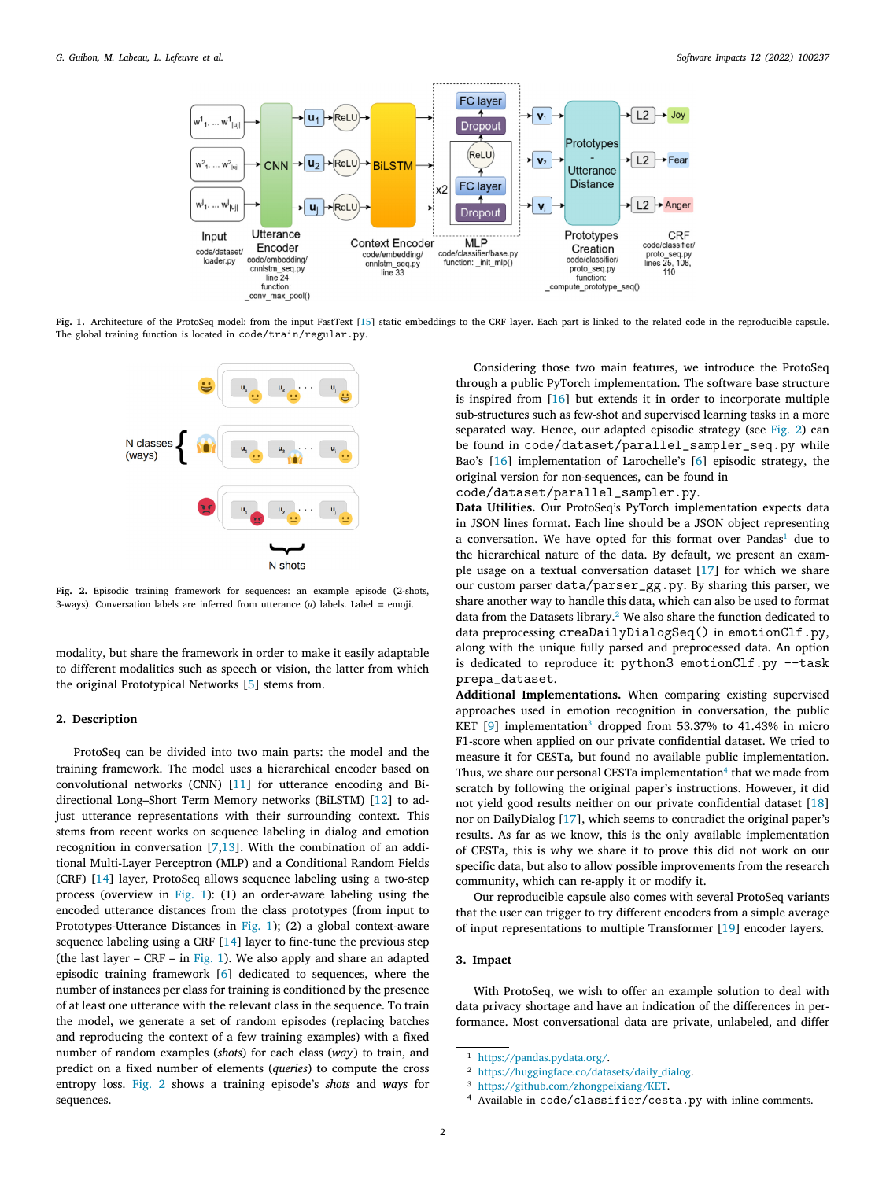

<span id="page-1-0"></span>**Fig. 1.** Architecture of the ProtoSeq model: from the input FastText [\[15\]](#page-2-8) static embeddings to the CRF layer. Each part is linked to the related code in the reproducible capsule. The global training function is located in code/train/regular.py.



<span id="page-1-1"></span>**Fig. 2.** Episodic training framework for sequences: an example episode (2-shots, 3-ways). Conversation labels are inferred from utterance  $(u)$  labels. Label = emoji.

modality, but share the framework in order to make it easily adaptable to different modalities such as speech or vision, the latter from which the original Prototypical Networks [[5](#page-2-4)] stems from.

#### **2. Description**

ProtoSeq can be divided into two main parts: the model and the training framework. The model uses a hierarchical encoder based on convolutional networks (CNN) [[11\]](#page-2-9) for utterance encoding and Bidirectional Long–Short Term Memory networks (BiLSTM) [[12\]](#page-2-10) to adjust utterance representations with their surrounding context. This stems from recent works on sequence labeling in dialog and emotion recognition in conversation [\[7,](#page-2-6)[13](#page-2-11)]. With the combination of an additional Multi-Layer Perceptron (MLP) and a Conditional Random Fields (CRF) [[14](#page-2-12)] layer, ProtoSeq allows sequence labeling using a two-step process (overview in [Fig.](#page-1-0) [1](#page-1-0)): (1) an order-aware labeling using the encoded utterance distances from the class prototypes (from input to Prototypes-Utterance Distances in [Fig.](#page-1-0) [1\)](#page-1-0); (2) a global context-aware sequence labeling using a CRF [\[14](#page-2-12)] layer to fine-tune the previous step (the last layer –  $CRF - in Fig. 1$  $CRF - in Fig. 1$  $CRF - in Fig. 1$ ). We also apply and share an adapted episodic training framework [[6\]](#page-2-5) dedicated to sequences, where the number of instances per class for training is conditioned by the presence of at least one utterance with the relevant class in the sequence. To train the model, we generate a set of random episodes (replacing batches and reproducing the context of a few training examples) with a fixed number of random examples (*shots*) for each class (*way*) to train, and predict on a fixed number of elements (*queries*) to compute the cross entropy loss. [Fig.](#page-1-1) [2](#page-1-1) shows a training episode's *shots* and *ways* for sequences.

Considering those two main features, we introduce the ProtoSeq through a public PyTorch implementation. The software base structure is inspired from [\[16](#page-2-13)] but extends it in order to incorporate multiple sub-structures such as few-shot and supervised learning tasks in a more separated way. Hence, our adapted episodic strategy (see [Fig.](#page-1-1) [2\)](#page-1-1) can be found in code/dataset/parallel\_sampler\_seq.py while Bao's [\[16](#page-2-13)] implementation of Larochelle's [[6](#page-2-5)] episodic strategy, the original version for non-sequences, can be found in

code/dataset/parallel\_sampler.py.

<span id="page-1-2"></span>**Data Utilities.** Our ProtoSeq's PyTorch implementation expects data in JSON lines format. Each line should be a JSON object representing a conversation. We have opted for this format over Pandas<sup>[1](#page-1-2)</sup> due to the hierarchical nature of the data. By default, we present an example usage on a textual conversation dataset [\[17](#page-2-14)] for which we share our custom parser data/parser\_gg.py. By sharing this parser, we share another way to handle this data, which can also be used to format data from the Datasets library.[2](#page-1-3) We also share the function dedicated to data preprocessing creaDailyDialogSeq() in emotionClf.py, along with the unique fully parsed and preprocessed data. An option is dedicated to reproduce it:  $python3$  emotionClf.py  $-$ task prepa\_dataset.

<span id="page-1-5"></span><span id="page-1-4"></span><span id="page-1-3"></span>**Additional Implementations.** When comparing existing supervised approaches used in emotion recognition in conversation, the public KET [[9](#page-2-15)] implementation<sup>[3](#page-1-4)</sup> dropped from 53.37% to 41.43% in micro F1-score when applied on our private confidential dataset. We tried to measure it for CESTa, but found no available public implementation. Thus, we share our personal CESTa implementation $4$  that we made from scratch by following the original paper's instructions. However, it did not yield good results neither on our private confidential dataset [\[18](#page-2-16)] nor on DailyDialog [[17\]](#page-2-14), which seems to contradict the original paper's results. As far as we know, this is the only available implementation of CESTa, this is why we share it to prove this did not work on our specific data, but also to allow possible improvements from the research community, which can re-apply it or modify it.

Our reproducible capsule also comes with several ProtoSeq variants that the user can trigger to try different encoders from a simple average of input representations to multiple Transformer [[19\]](#page-2-17) encoder layers.

#### **3. Impact**

With ProtoSeq, we wish to offer an example solution to deal with data privacy shortage and have an indication of the differences in performance. Most conversational data are private, unlabeled, and differ

<sup>1</sup> <https://pandas.pydata.org/>.

<sup>2</sup> [https://huggingface.co/datasets/daily\\_dialog.](https://huggingface.co/datasets/daily_dialog)

<sup>3</sup> [https://github.com/zhongpeixiang/KET.](https://github.com/zhongpeixiang/KET)

<sup>4</sup> Available in code/classifier/cesta.py with inline comments.